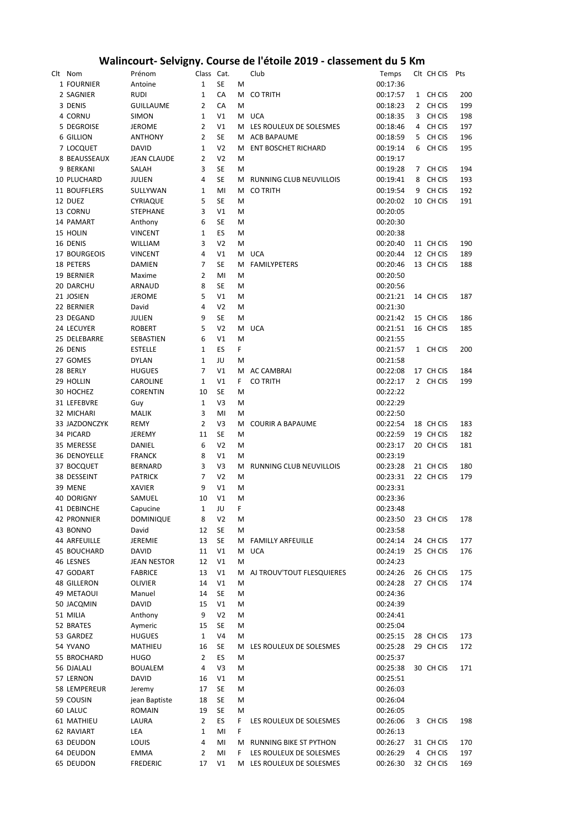## **Walincourt- Selvigny. Course de l'étoile 2019 - classement du 5 Km**

| Clt Nom                   | Prénom                          | Class Cat.     |                |        | Club                       | Temps                | CIt CH CIS             | Pts        |
|---------------------------|---------------------------------|----------------|----------------|--------|----------------------------|----------------------|------------------------|------------|
| 1 FOURNIER                | Antoine                         | $1\,$          | <b>SE</b>      | м      |                            | 00:17:36             |                        |            |
| 2 SAGNIER                 | <b>RUDI</b>                     | 1              | CA             | м      | <b>CO TRITH</b>            | 00:17:57             | 1 CH CIS               | 200        |
| 3 DENIS                   | <b>GUILLAUME</b>                | 2              | CA             | M      |                            | 00:18:23             | 2 CH CIS               | 199        |
| 4 CORNU                   | <b>SIMON</b>                    | $\mathbf{1}$   | V1             |        | M UCA                      | 00:18:35             | 3 CH CIS               | 198        |
| 5 DEGROISE                | <b>JEROME</b>                   | $\overline{2}$ | V1             |        | M LES ROULEUX DE SOLESMES  | 00:18:46             | 4 CH CIS               | 197        |
| 6 GILLION                 | <b>ANTHONY</b>                  | $\overline{2}$ | <b>SE</b>      |        | M ACB BAPAUME              | 00:18:59             | 5 CH CIS               | 196        |
| 7 LOCQUET                 | <b>DAVID</b>                    | 1              | V <sub>2</sub> | м      | <b>ENT BOSCHET RICHARD</b> | 00:19:14             | 6 CH CIS               | 195        |
| 8 BEAUSSEAUX              | <b>JEAN CLAUDE</b>              | 2              | V <sub>2</sub> | M      |                            | 00:19:17             |                        |            |
| 9 BERKANI                 | SALAH                           | 3              | <b>SE</b>      | M      |                            | 00:19:28             | 7 CH CIS               | 194        |
| 10 PLUCHARD               | JULIEN                          | 4              | <b>SE</b>      |        | M RUNNING CLUB NEUVILLOIS  | 00:19:41             | 8 CH CIS               | 193        |
| 11 BOUFFLERS              | SULLYWAN                        | $\mathbf{1}$   | MI             |        | M CO TRITH                 | 00:19:54             | 9 CH CIS               | 192        |
| 12 DUEZ                   | <b>CYRIAQUE</b>                 | 5              | SE             | M      |                            | 00:20:02             | 10 CH CIS              | 191        |
| 13 CORNU                  | <b>STEPHANE</b>                 | 3              | V1             | M      |                            | 00:20:05             |                        |            |
| 14 PAMART                 | Anthony                         | 6              | SE             | M      |                            | 00:20:30             |                        |            |
| 15 HOLIN                  | <b>VINCENT</b>                  | $\mathbf{1}$   | ES             | м      |                            | 00:20:38             |                        |            |
| 16 DENIS                  | WILLIAM                         | 3              | V <sub>2</sub> | м      |                            | 00:20:40             | 11 CH CIS              | 190        |
| 17 BOURGEOIS              | <b>VINCENT</b>                  | 4              | V1             |        | M UCA                      | 00:20:44             | 12 CH CIS              | 189        |
| 18 PETERS                 | <b>DAMIEN</b>                   | 7              | <b>SE</b>      | м      | <b>FAMILYPETERS</b>        | 00:20:46             | 13 CH CIS              | 188        |
| 19 BERNIER                | Maxime                          | $\overline{2}$ | MI             | M      |                            | 00:20:50             |                        |            |
| 20 DARCHU                 | <b>ARNAUD</b>                   | 8              | SE             | M      |                            | 00:20:56             |                        |            |
| 21 JOSIEN                 | <b>JEROME</b>                   | 5              | V1             | M      |                            | 00:21:21             | 14 CH CIS              | 187        |
| 22 BERNIER                | David                           | 4              | V <sub>2</sub> | M      |                            | 00:21:30             |                        |            |
| 23 DEGAND                 | JULIEN                          | 9              | <b>SE</b>      | M      |                            | 00:21:42             | 15 CH CIS              | 186        |
| 24 LECUYER                | <b>ROBERT</b>                   | 5              | V <sub>2</sub> |        | M UCA                      | 00:21:51             | 16 CH CIS              | 185        |
| 25 DELEBARRE              | SEBASTIEN                       | 6              | V1             | M      |                            | 00:21:55             |                        |            |
| 26 DENIS                  | <b>ESTELLE</b>                  | $\mathbf{1}$   | ES             | F.     |                            | 00:21:57             | 1 CH CIS               | 200        |
| 27 GOMES                  | <b>DYLAN</b>                    | 1              | JU             | M      |                            | 00:21:58             |                        |            |
| 28 BERLY                  | <b>HUGUES</b>                   | $\overline{7}$ | V1             | м      | <b>AC CAMBRAI</b>          | 00:22:08             | 17 CH CIS              | 184        |
| 29 HOLLIN                 | CAROLINE                        | $\mathbf{1}$   | V1             | F.     | <b>CO TRITH</b>            | 00:22:17             | 2 CH CIS               | 199        |
| 30 HOCHEZ                 | <b>CORENTIN</b>                 | 10             | <b>SE</b>      | M      |                            | 00:22:22             |                        |            |
| 31 LEFEBVRE               | Guy                             | $\mathbf{1}$   | V3             | М      |                            | 00:22:29             |                        |            |
| 32 MICHARI                | <b>MALIK</b>                    | 3              | MI             | M      |                            | 00:22:50             |                        |            |
| 33 JAZDONCZYK             | REMY                            | $\overline{2}$ | V3             | м      | <b>COURIR A BAPAUME</b>    | 00:22:54             | 18 CH CIS              | 183        |
| 34 PICARD                 |                                 | 11             | SE             | M      |                            | 00:22:59             | 19 CH CIS              | 182        |
| 35 MERESSE                | JEREMY                          | 6              | V <sub>2</sub> |        |                            |                      |                        |            |
| 36 DENOYELLE              | DANIEL<br><b>FRANCK</b>         | 8              | V1             | М<br>M |                            | 00:23:17<br>00:23:19 | 20 CH CIS              | 181        |
|                           |                                 | 3              | V3             | м      |                            |                      |                        |            |
| 37 BOCQUET<br>38 DESSEINT | <b>BERNARD</b>                  | 7              | V <sub>2</sub> | M      | RUNNING CLUB NEUVILLOIS    | 00:23:28<br>00:23:31 | 21 CH CIS<br>22 CH CIS | 180<br>179 |
| 39 MENE                   | <b>PATRICK</b><br><b>XAVIER</b> | 9              | V1             | M      |                            |                      |                        |            |
|                           |                                 |                |                |        |                            | 00:23:31             |                        |            |
| <b>40 DORIGNY</b>         | SAMUEL                          | 10             | V1             | M      |                            | 00:23:36             |                        |            |
| 41 DEBINCHE               | Capucine                        | $\mathbf{1}$   | JU             | F      |                            | 00:23:48             |                        |            |
| 42 PRONNIER               | <b>DOMINIQUE</b>                | 8              | V <sub>2</sub> | M      |                            | 00:23:50             | 23 CH CIS              | 178        |
| 43 BONNO                  | David                           | 12             | SE             | M      |                            | 00:23:58             |                        |            |
| <b>44 ARFEUILLE</b>       | JEREMIE                         | 13             | SE             |        | M FAMILLY ARFEUILLE        | 00:24:14             | 24 CH CIS              | 177        |
| 45 BOUCHARD               | DAVID<br><b>JEAN NESTOR</b>     | 11             | V1             | M      | <b>UCA</b>                 | 00:24:19             | 25 CH CIS              | 176        |
| 46 LESNES                 |                                 | 12             | V1             | M      |                            | 00:24:23             |                        |            |
| 47 GODART                 | <b>FABRICE</b>                  | 13             | V1             | м      | AJ TROUV'TOUT FLESQUIERES  | 00:24:26             | 26 CH CIS              | 175        |
| 48 GILLERON               | <b>OLIVIER</b>                  | 14             | V1             | M      |                            | 00:24:28             | 27 CH CIS              | 174        |
| 49 METAOUI                | Manuel                          | 14             | SE             | M      |                            | 00:24:36             |                        |            |
| 50 JACQMIN                | DAVID                           | 15             | V1             | M      |                            | 00:24:39             |                        |            |
| 51 MILIA                  | Anthony                         | 9              | V <sub>2</sub> | M      |                            | 00:24:41             |                        |            |
| 52 BRATES                 | Aymeric                         | 15             | <b>SE</b>      | M      |                            | 00:25:04             |                        |            |
| 53 GARDEZ                 | <b>HUGUES</b>                   | $\mathbf{1}$   | V <sub>4</sub> | M      |                            | 00:25:15             | 28 CH CIS              | 173        |
| 54 YVANO                  | MATHIEU                         | 16             | SE             | М      | LES ROULEUX DE SOLESMES    | 00:25:28             | 29 CH CIS              | 172        |
| 55 BROCHARD               | <b>HUGO</b>                     | $\overline{2}$ | ES             | M      |                            | 00:25:37             |                        |            |
| 56 DJALALI                | <b>BOUALEM</b>                  | 4              | V3             | M      |                            | 00:25:38             | 30 CH CIS              | 171        |
| 57 LERNON                 | DAVID                           | 16             | V1             | M      |                            | 00:25:51             |                        |            |
| 58 LEMPEREUR              | Jeremy                          | 17             | <b>SE</b>      | M      |                            | 00:26:03             |                        |            |
| 59 COUSIN                 | jean Baptiste                   | 18             | SE             | M      |                            | 00:26:04             |                        |            |
| 60 LALUC                  | <b>ROMAIN</b>                   | 19             | SE             | M      |                            | 00:26:05             |                        |            |
| 61 MATHIEU                | LAURA                           | $\overline{2}$ | ES             | F.     | LES ROULEUX DE SOLESMES    | 00:26:06             | 3 CH CIS               | 198        |
| 62 RAVIART                | LEA                             | $\mathbf{1}$   | MI             | F      |                            | 00:26:13             |                        |            |
| 63 DEUDON                 | LOUIS                           | 4              | MI             | М      | RUNNING BIKE ST PYTHON     | 00:26:27             | 31 CH CIS              | 170        |
| 64 DEUDON                 | <b>EMMA</b>                     | $\overline{2}$ | MI             | F      | LES ROULEUX DE SOLESMES    | 00:26:29             | 4 CH CIS               | 197        |
| 65 DEUDON                 | <b>FREDERIC</b>                 | 17             | V1             |        | M LES ROULEUX DE SOLESMES  | 00:26:30             | 32 CH CIS              | 169        |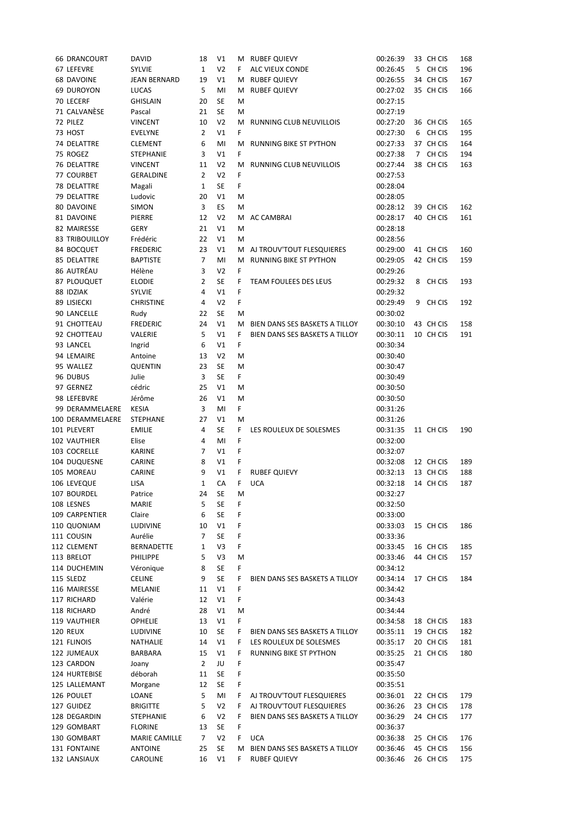| <b>66 DRANCOURT</b>          | <b>DAVID</b>               | 18                   | V1              |         | M RUBEF QUIEVY                                        | 00:26:39             | 33 CH CIS              | 168        |
|------------------------------|----------------------------|----------------------|-----------------|---------|-------------------------------------------------------|----------------------|------------------------|------------|
| 67 LEFEVRE                   | <b>SYLVIE</b>              | $\mathbf{1}$         | V <sub>2</sub>  | F.      | ALC VIEUX CONDE                                       | 00:26:45             | 5 CH CIS               | 196        |
| <b>68 DAVOINE</b>            | <b>JEAN BERNARD</b>        | 19                   | V1              | м       | <b>RUBEF QUIEVY</b>                                   | 00:26:55             | 34 CH CIS              | 167        |
| <b>69 DUROYON</b>            | LUCAS                      | 5                    | MI              | м       | <b>RUBEF QUIEVY</b>                                   | 00:27:02             | 35 CH CIS              | 166        |
| 70 LECERF                    | <b>GHISLAIN</b>            | 20                   | <b>SE</b>       | M       |                                                       | 00:27:15             |                        |            |
| 71 CALVANÈSE                 | Pascal                     | 21                   | <b>SE</b>       | M       |                                                       | 00:27:19             |                        |            |
| 72 PILEZ                     | <b>VINCENT</b>             | 10                   | V <sub>2</sub>  | м       | RUNNING CLUB NEUVILLOIS                               | 00:27:20             | 36 CH CIS              | 165        |
| 73 HOST                      | <b>EVELYNE</b>             | $\overline{2}$       | V1              | F.      |                                                       | 00:27:30             | 6 CH CIS               | 195        |
|                              |                            |                      |                 |         |                                                       |                      |                        |            |
| 74 DELATTRE                  | <b>CLEMENT</b>             | 6                    | MI              | м       | RUNNING BIKE ST PYTHON                                | 00:27:33             | 37 CH CIS              | 164        |
| 75 ROGEZ                     | <b>STEPHANIE</b>           | 3                    | V1              | F.      |                                                       | 00:27:38             | 7 CH CIS               | 194        |
| 76 DELATTRE                  | <b>VINCENT</b>             | 11                   | V <sub>2</sub>  | M       | RUNNING CLUB NEUVILLOIS                               | 00:27:44             | 38 CH CIS              | 163        |
| 77 COURBET                   | <b>GERALDINE</b>           | $\overline{2}$       | V <sub>2</sub>  | F.      |                                                       | 00:27:53             |                        |            |
| 78 DELATTRE                  | Magali                     | 1                    | SE              | F       |                                                       | 00:28:04             |                        |            |
| 79 DELATTRE                  | Ludovic                    | 20                   | V1              | M       |                                                       | 00:28:05             |                        |            |
| 80 DAVOINE                   | <b>SIMON</b>               | 3                    | ES              | M       |                                                       | 00:28:12             | 39 CH CIS              | 162        |
| 81 DAVOINE                   | PIERRE                     | 12                   | V <sub>2</sub>  | м       | AC CAMBRAI                                            | 00:28:17             | 40 CH CIS              | 161        |
| 82 MAIRESSE                  | <b>GERY</b>                | 21                   | V1              | M       |                                                       | 00:28:18             |                        |            |
| <b>83 TRIBOUILLOY</b>        | Frédéric                   | 22                   | V1              | M       |                                                       | 00:28:56             |                        |            |
| 84 BOCQUET                   | <b>FREDERIC</b>            | 23                   | V1              | м       | AJ TROUV'TOUT FLESQUIERES                             | 00:29:00             | 41 CH CIS              | 160        |
| 85 DELATTRE                  | <b>BAPTISTE</b>            | $\overline{7}$       | MI              | м       | <b>RUNNING BIKE ST PYTHON</b>                         | 00:29:05             | 42 CH CIS              | 159        |
| 86 AUTRÉAU                   | Hélène                     | 3                    | V <sub>2</sub>  | F       |                                                       | 00:29:26             |                        |            |
| 87 PLOUQUET                  | <b>ELODIE</b>              | $\overline{2}$       | SE              | F       | TEAM FOULEES DES LEUS                                 | 00:29:32             | 8 CH CIS               | 193        |
| 88 IDZIAK                    | <b>SYLVIE</b>              | 4                    | V1              | F       |                                                       | 00:29:32             |                        |            |
| 89 LISIECKI                  | <b>CHRISTINE</b>           | 4                    | V <sub>2</sub>  | F.      |                                                       | 00:29:49             | 9 CH CIS               | 192        |
|                              |                            | 22                   | <b>SE</b>       | M       |                                                       |                      |                        |            |
| 90 LANCELLE                  | Rudy                       |                      |                 |         |                                                       | 00:30:02             |                        |            |
| 91 CHOTTEAU                  | <b>FREDERIC</b>            | 24                   | V1              | м       | BIEN DANS SES BASKETS A TILLOY                        | 00:30:10             | 43 CH CIS              | 158        |
| 92 CHOTTEAU                  | VALERIE                    | 5                    | V1              | F.      | BIEN DANS SES BASKETS A TILLOY                        | 00:30:11             | 10 CH CIS              | 191        |
| 93 LANCEL                    | Ingrid                     | 6                    | V1              | F       |                                                       | 00:30:34             |                        |            |
| 94 LEMAIRE                   | Antoine                    | 13                   | V <sub>2</sub>  | M       |                                                       | 00:30:40             |                        |            |
| 95 WALLEZ                    | <b>QUENTIN</b>             | 23                   | <b>SE</b>       | M       |                                                       | 00:30:47             |                        |            |
| 96 DUBUS                     | Julie                      | 3                    | <b>SE</b>       | F.      |                                                       | 00:30:49             |                        |            |
| 97 GERNEZ                    | cédric                     | 25                   | V1              | M       |                                                       | 00:30:50             |                        |            |
| 98 LEFEBVRE                  | Jérôme                     | 26                   | V1              | M       |                                                       | 00:30:50             |                        |            |
|                              |                            |                      |                 |         |                                                       |                      |                        |            |
| 99 DERAMMELAERE              | <b>KESIA</b>               | 3                    | MI              | F.      |                                                       | 00:31:26             |                        |            |
| 100 DERAMMELAERE             | <b>STEPHANE</b>            | 27                   | V1              | M       |                                                       | 00:31:26             |                        |            |
| 101 PLEVERT                  | <b>EMILIE</b>              | 4                    | <b>SE</b>       | F.      | LES ROULEUX DE SOLESMES                               | 00:31:35             | 11 CH CIS              | 190        |
| 102 VAUTHIER                 | Elise                      | 4                    | MI              | F       |                                                       | 00:32:00             |                        |            |
| 103 COCRELLE                 | <b>KARINE</b>              | 7                    | V1              | F       |                                                       | 00:32:07             |                        |            |
|                              |                            |                      |                 | F       |                                                       |                      |                        |            |
| 104 DUQUESNE                 | CARINE                     | 8                    | V1              |         |                                                       | 00:32:08             | 12 CH CIS              | 189        |
| 105 MOREAU                   | CARINE                     | 9                    | V1              | F.      | <b>RUBEF QUIEVY</b>                                   | 00:32:13             | 13 CH CIS              | 188        |
| 106 LEVEQUE                  | <b>LISA</b>                | $\mathbf{1}$         | CA              | F       | <b>UCA</b>                                            | 00:32:18             | 14 CH CIS              | 187        |
| 107 BOURDEL                  | Patrice                    | 24                   | SE              | м       |                                                       | 00:32:27             |                        |            |
| 108 LESNES                   | <b>MARIE</b>               | 5                    | SE              | F       |                                                       | 00:32:50             |                        |            |
| 109 CARPENTIER               | Claire                     | 6                    | <b>SE</b>       | F       |                                                       | 00:33:00             |                        |            |
| 110 QUONIAM                  | LUDIVINE                   | 10                   | V1              | F       |                                                       | 00:33:03             | 15 CH CIS              | 186        |
| 111 COUSIN                   | Aurélie                    | $\overline{7}$       | <b>SE</b>       | F       |                                                       | 00:33:36             |                        |            |
| 112 CLEMENT                  | <b>BERNADETTE</b>          | 1                    | V3              | F       |                                                       | 00:33:45             | 16 CH CIS              | 185        |
| 113 BRELOT                   | <b>PHILIPPE</b>            | 5                    | V3              | M       |                                                       | 00:33:46             | 44 CH CIS              | 157        |
| 114 DUCHEMIN                 | Véronique                  | 8                    | SE              | F       |                                                       | 00:34:12             |                        |            |
| 115 SLEDZ                    | <b>CELINE</b>              | 9                    | SE              | F.      | BIEN DANS SES BASKETS A TILLOY                        | 00:34:14             | 17 CH CIS              | 184        |
| 116 MAIRESSE                 | MELANIE                    | 11                   | V1              | F       |                                                       | 00:34:42             |                        |            |
| 117 RICHARD                  | Valérie                    | 12                   | V1              | F.      |                                                       | 00:34:43             |                        |            |
| 118 RICHARD                  | André                      | 28                   | V1              | M       |                                                       | 00:34:44             |                        |            |
| 119 VAUTHIER                 | <b>OPHELIE</b>             | 13                   | V1              | F       |                                                       | 00:34:58             | 18 CH CIS              | 183        |
| <b>120 REUX</b>              | LUDIVINE                   | 10                   | SE              | F.      | BIEN DANS SES BASKETS A TILLOY                        | 00:35:11             | 19 CH CIS              | 182        |
| 121 FLINOIS                  | NATHALIE                   | 14                   | V1              | F.      | LES ROULEUX DE SOLESMES                               | 00:35:17             | 20 CH CIS              | 181        |
|                              | BARBARA                    |                      |                 | F       |                                                       |                      |                        |            |
| 122 JUMEAUX<br>123 CARDON    | Joany                      | 15<br>$\overline{2}$ | V1<br>JU        | F       | RUNNING BIKE ST PYTHON                                | 00:35:25<br>00:35:47 | 21 CH CIS              | 180        |
|                              |                            |                      |                 |         |                                                       |                      |                        |            |
| 124 HURTEBISE                | déborah                    | 11                   | SE              | F       |                                                       | 00:35:50             |                        |            |
| 125 LALLEMANT                | Morgane                    | 12                   | SE              | F       |                                                       | 00:35:51             |                        |            |
| 126 POULET                   | LOANE                      | 5                    | MI              | F.      | AJ TROUV'TOUT FLESQUIERES                             | 00:36:01             | 22 CH CIS              | 179        |
| 127 GUIDEZ                   | <b>BRIGITTE</b>            | 5                    | V <sub>2</sub>  | F.      | AJ TROUV'TOUT FLESQUIERES                             | 00:36:26             | 23 CH CIS              | 178        |
| 128 DEGARDIN                 | STEPHANIE                  | 6                    | V <sub>2</sub>  | F.      | BIEN DANS SES BASKETS A TILLOY                        | 00:36:29             | 24 CH CIS              | 177        |
| 129 GOMBART                  | <b>FLORINE</b>             | 13                   | SE              | F       |                                                       | 00:36:37             |                        |            |
| 130 GOMBART                  | <b>MARIE CAMILLE</b>       | 7                    | V <sub>2</sub>  | F.      | <b>UCA</b>                                            | 00:36:38             | 25 CH CIS              | 176        |
| 131 FONTAINE<br>132 LANSIAUX | <b>ANTOINE</b><br>CAROLINE | 25<br>16             | <b>SE</b><br>V1 | м<br>F. | BIEN DANS SES BASKETS A TILLOY<br><b>RUBEF QUIEVY</b> | 00:36:46<br>00:36:46 | 45 CH CIS<br>26 CH CIS | 156<br>175 |